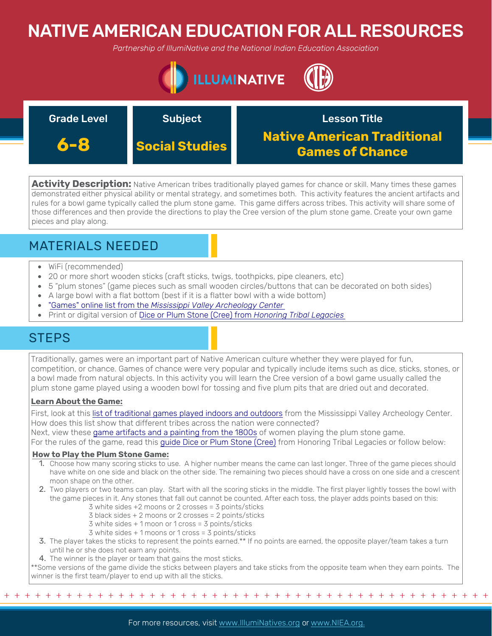# NATIVE AMERICAN EDUCATION FOR ALL RESOURCES

*Partnership of IllumiNative and the National Indian Education Association*



| <b>Grade Level</b> | <b>Subject</b>        | <b>Lesson Title</b>                                          |
|--------------------|-----------------------|--------------------------------------------------------------|
| 6-8                | <b>Social Studies</b> | <b>Native American Traditional</b><br><b>Games of Chance</b> |

Activity Description: Native American tribes traditionally played games for chance or skill. Many times these games demonstrated either physical ability or mental strategy, and sometimes both. This activity features the ancient artifacts and rules for a bowl game typically called the plum stone game. This game differs across tribes. This activity will share some of those differences and then provide the directions to play the Cree version of the plum stone game. Create your own game pieces and play along.

## MATERIALS NEEDED

- WiFi (recommended)
- 20 or more short wooden sticks (craft sticks, twigs, toothpicks, pipe cleaners, etc)
- 5 "plum stones" (game pieces such as small wooden circles/buttons that can be decorated on both sides)
- A large bowl with a flat bottom (best if it is a flatter bowl with a wide bottom)
- "Games" online list from the *[Mississippi Valley Archeology Center](https://mvac.uwlax.edu/past-cultures/native-knowledge/games/)*
- Print or digital version of [Dice or Plum Stone \(Cree\) from](https://blogs.uoregon.edu/honoringtriballegacies/other-resources/other-educational/native-games/intuitive-games/dice-cree/) *Honoring Tribal Legacies*

## **STEPS**

Traditionally, games were an important part of Native American culture whether they were played for fun, competition, or chance. Games of chance were very popular and typically include items such as dice, sticks, stones, or a bowl made from natural objects. In this activity you will learn the Cree version of a bowl game usually called the plum stone game played using a wooden bowl for tossing and five plum pits that are dried out and decorated.

### **Learn About the Game:**

First, look at this [list of traditional games played indoors and outdoors](https://mvac.uwlax.edu/past-cultures/native-knowledge/games/) from the Mississippi Valley Archeology Center. How does this list show that different tribes across the nation were connected?

Next, view these [game artifacts and a painting from the 1800s](https://dp.la/exhibitions/history-of-survivance/survivance/plum-stones?item=569) of women playing the plum stone game.

For the rules of the game, read this [guide Dice or Plum Stone \(Cree\)](https://blogs.uoregon.edu/honoringtriballegacies/other-resources/other-educational/native-games/intuitive-games/dice-cree/) from Honoring Tribal Legacies or follow below:

### **How to Play the Plum Stone Game:**

- 1. Choose how many scoring sticks to use. A higher number means the came can last longer. Three of the game pieces should have white on one side and black on the other side. The remaining two pieces should have a cross on one side and a crescent moon shape on the other.
- 2. Two players or two teams can play. Start with all the scoring sticks in the middle. The first player lightly tosses the bowl with the game pieces in it. Any stones that fall out cannot be counted. After each toss, the player adds points based on this:
	- 3 white sides +2 moons or 2 crosses = 3 points/sticks
	- 3 black sides + 2 moons or 2 crosses = 2 points/sticks
	- 3 white sides + 1 moon or 1 cross = 3 points/sticks
	- 3 white sides + 1 moons or 1 cross = 3 points/sticks
- 3. The player takes the sticks to represent the points earned.\*\* If no points are earned, the opposite player/team takes a turn until he or she does not earn any points.
- 4. The winner is the player or team that gains the most sticks.

\*\*Some versions of the game divide the sticks between players and take sticks from the opposite team when they earn points. The winner is the first team/player to end up with all the sticks.

+ + + + + + + + + + + + + + + + + + + + + + + + + + + + + + + + + + + + + + + + + + + + + + + +